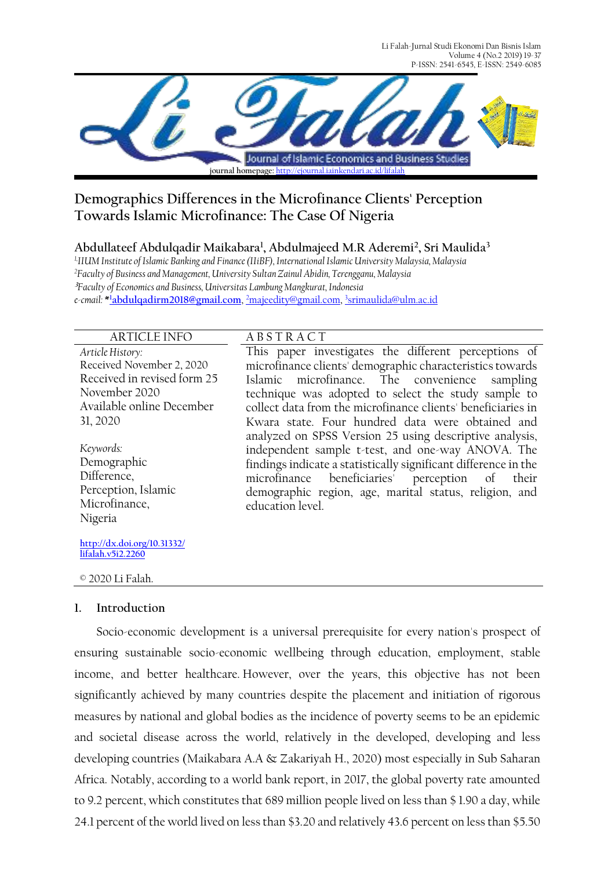Li Falah-Jurnal Studi Ekonomi Dan Bisnis Islam Volume 4 (No.2 2019) 19-37 P-ISSN: 2541-6545, E-ISSN: 2549-6085



# **Demographics Differences in the Microfinance Clients' Perception Towards Islamic Microfinance: The Case Of Nigeria**

## **Abdullateef Abdulqadir Maikabara<sup>1</sup> , Abdulmajeed M.R Aderemi<sup>2</sup> , Sri Maulida<sup>3</sup>**

*1,IIUM Institute of Islamic Banking and Finance (IIiBF), International Islamic University Malaysia, Malaysia <sup>2</sup>Faculty of Business and Management, University Sultan Zainul Abidin, Terengganu, Malaysia* **<sup>3</sup>***Faculty of Economics and Business, Universitas Lambung Mangkurat, Indonesia e-cmail:* **\* <sup>1</sup>[abdulqadirm2018@gmail.com](mailto:1abdulqadirm2018@gmail.com)**, <sup>2</sup>[majeedity@gmail.com,](mailto:2majeedity@gmail.com)  3 [srimaulida@ulm.ac.id](mailto:3srimaulida@ulm.ac.id)

#### ARTICLE INFO A B S T R A C T

*Article History:* Received November 2, 2020 Received in revised form 25 November 2020 Available online December 31, 2020

*Keywords:*  Demographic Difference, Perception, Islamic Microfinance, Nigeria

**[http://dx.doi.org/10.31332/](http://dx.doi.org/10.31332/lifalah.v5i2.2260) [lifalah.v5i2.2260](http://dx.doi.org/10.31332/lifalah.v5i2.2260)**

© 2020 Li Falah.

## **1. Introduction**

Socio-economic development is a universal prerequisite for every nation's prospect of ensuring sustainable socio-economic wellbeing through education, employment, stable income, and better healthcare. However, over the years, this objective has not been significantly achieved by many countries despite the placement and initiation of rigorous measures by national and global bodies as the incidence of poverty seems to be an epidemic and societal disease across the world, relatively in the developed, developing and less developing countries (Maikabara A.A & Zakariyah H., 2020) most especially in Sub Saharan Africa. Notably, according to a world bank report, in 2017, the global poverty rate amounted to 9.2 percent, which constitutes that 689 million people lived on less than \$ 1.90 a day, while 24.1 percent of the world lived on less than \$3.20 and relatively 43.6 percent on less than \$5.50

This paper investigates the different perceptions of microfinance clients' demographic characteristics towards Islamic microfinance. The convenience sampling technique was adopted to select the study sample to collect data from the microfinance clients' beneficiaries in Kwara state. Four hundred data were obtained and analyzed on SPSS Version 25 using descriptive analysis, independent sample t-test, and one-way ANOVA. The findings indicate a statistically significant difference in the microfinance beneficiaries' perception of their demographic region, age, marital status, religion, and education level.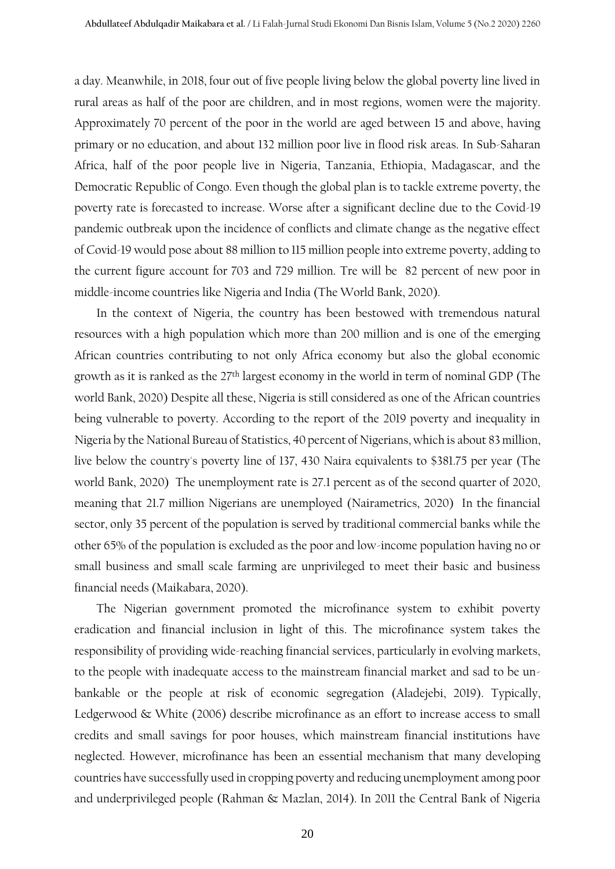a day. Meanwhile, in 2018, four out of five people living below the global poverty line lived in rural areas as half of the poor are children, and in most regions, women were the majority. Approximately 70 percent of the poor in the world are aged between 15 and above, having primary or no education, and about 132 million poor live in flood risk areas. In Sub-Saharan Africa, half of the poor people live in Nigeria, Tanzania, Ethiopia, Madagascar, and the Democratic Republic of Congo. Even though the global plan is to tackle extreme poverty, the poverty rate is forecasted to increase. Worse after a significant decline due to the Covid-19 pandemic outbreak upon the incidence of conflicts and climate change as the negative effect of Covid-19 would pose about 88 million to 115 million people into extreme poverty, adding to the current figure account for 703 and 729 million. Tre will be 82 percent of new poor in middle-income countries like Nigeria and India (The World Bank, 2020).

In the context of Nigeria, the country has been bestowed with tremendous natural resources with a high population which more than 200 million and is one of the emerging African countries contributing to not only Africa economy but also the global economic growth as it is ranked as the 27th largest economy in the world in term of nominal GDP (The world Bank, 2020) Despite all these, Nigeria is still considered as one of the African countries being vulnerable to poverty. According to the report of the 2019 poverty and inequality in Nigeria by the National Bureau of Statistics, 40 percent of Nigerians, which is about 83 million, live below the country's poverty line of 137, 430 Naira equivalents to \$381.75 per year (The world Bank, 2020) The unemployment rate is 27.1 percent as of the second quarter of 2020, meaning that 21.7 million Nigerians are unemployed (Nairametrics, 2020) In the financial sector, only 35 percent of the population is served by traditional commercial banks while the other 65% of the population is excluded as the poor and low-income population having no or small business and small scale farming are unprivileged to meet their basic and business financial needs (Maikabara, 2020).

The Nigerian government promoted the microfinance system to exhibit poverty eradication and financial inclusion in light of this. The microfinance system takes the responsibility of providing wide-reaching financial services, particularly in evolving markets, to the people with inadequate access to the mainstream financial market and sad to be unbankable or the people at risk of economic segregation (Aladejebi, 2019). Typically, Ledgerwood & White (2006) describe microfinance as an effort to increase access to small credits and small savings for poor houses, which mainstream financial institutions have neglected. However, microfinance has been an essential mechanism that many developing countries have successfully used in cropping poverty and reducing unemployment among poor and underprivileged people (Rahman & Mazlan, 2014). In 2011 the Central Bank of Nigeria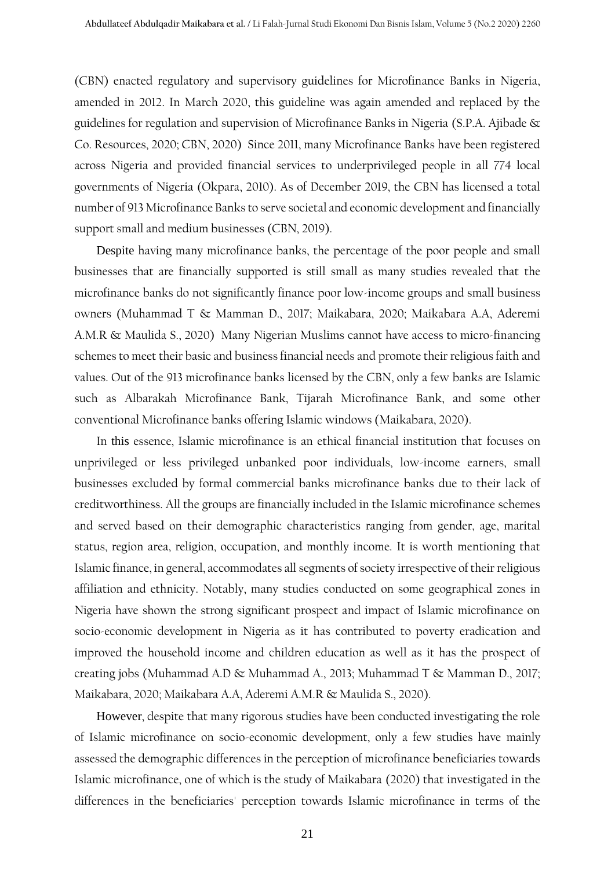(CBN) enacted regulatory and supervisory guidelines for Microfinance Banks in Nigeria, amended in 2012. In March 2020, this guideline was again amended and replaced by the guidelines for regulation and supervision of Microfinance Banks in Nigeria (S.P.A. Ajibade & Co. Resources, 2020; CBN, 2020) Since 2011, many Microfinance Banks have been registered across Nigeria and provided financial services to underprivileged people in all 774 local governments of Nigeria (Okpara, 2010). As of December 2019, the CBN has licensed a total number of 913 Microfinance Banks to serve societal and economic development and financially support small and medium businesses (CBN, 2019).

Despite having many microfinance banks, the percentage of the poor people and small businesses that are financially supported is still small as many studies revealed that the microfinance banks do not significantly finance poor low-income groups and small business owners (Muhammad T & Mamman D., 2017; Maikabara, 2020; Maikabara A.A, Aderemi A.M.R & Maulida S., 2020) Many Nigerian Muslims cannot have access to micro-financing schemes to meet their basic and business financial needs and promote their religious faith and values. Out of the 913 microfinance banks licensed by the CBN, only a few banks are Islamic such as Albarakah Microfinance Bank, Tijarah Microfinance Bank, and some other conventional Microfinance banks offering Islamic windows (Maikabara, 2020).

In this essence, Islamic microfinance is an ethical financial institution that focuses on unprivileged or less privileged unbanked poor individuals, low-income earners, small businesses excluded by formal commercial banks microfinance banks due to their lack of creditworthiness. All the groups are financially included in the Islamic microfinance schemes and served based on their demographic characteristics ranging from gender, age, marital status, region area, religion, occupation, and monthly income. It is worth mentioning that Islamic finance, in general, accommodates all segments of society irrespective of their religious affiliation and ethnicity. Notably, many studies conducted on some geographical zones in Nigeria have shown the strong significant prospect and impact of Islamic microfinance on socio-economic development in Nigeria as it has contributed to poverty eradication and improved the household income and children education as well as it has the prospect of creating jobs (Muhammad A.D & Muhammad A., 2013; Muhammad T & Mamman D., 2017; Maikabara, 2020; Maikabara A.A, Aderemi A.M.R & Maulida S., 2020).

However, despite that many rigorous studies have been conducted investigating the role of Islamic microfinance on socio-economic development, only a few studies have mainly assessed the demographic differences in the perception of microfinance beneficiaries towards Islamic microfinance, one of which is the study of Maikabara (2020) that investigated in the differences in the beneficiaries' perception towards Islamic microfinance in terms of the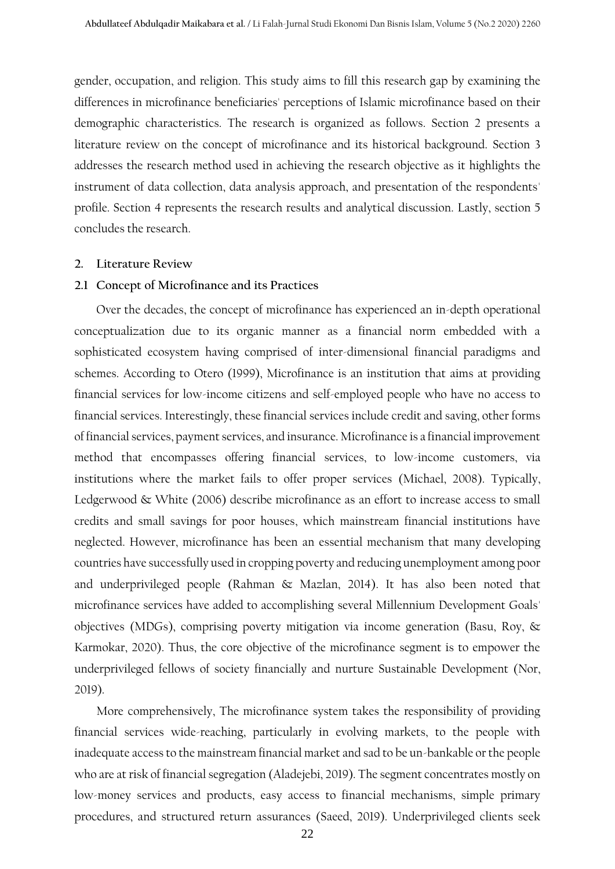gender, occupation, and religion. This study aims to fill this research gap by examining the differences in microfinance beneficiaries' perceptions of Islamic microfinance based on their demographic characteristics. The research is organized as follows. Section 2 presents a literature review on the concept of microfinance and its historical background. Section 3 addresses the research method used in achieving the research objective as it highlights the instrument of data collection, data analysis approach, and presentation of the respondents' profile. Section 4 represents the research results and analytical discussion. Lastly, section 5 concludes the research.

#### **2. Literature Review**

#### **2.1 Concept of Microfinance and its Practices**

Over the decades, the concept of microfinance has experienced an in-depth operational conceptualization due to its organic manner as a financial norm embedded with a sophisticated ecosystem having comprised of inter-dimensional financial paradigms and schemes. According to Otero (1999), Microfinance is an institution that aims at providing financial services for low-income citizens and self-employed people who have no access to financial services. Interestingly, these financial services include credit and saving, other forms of financial services, payment services, and insurance. Microfinance is a financial improvement method that encompasses offering financial services, to low-income customers, via institutions where the market fails to offer proper services (Michael, 2008). Typically, Ledgerwood & White (2006) describe microfinance as an effort to increase access to small credits and small savings for poor houses, which mainstream financial institutions have neglected. However, microfinance has been an essential mechanism that many developing countries have successfully used in cropping poverty and reducing unemployment among poor and underprivileged people (Rahman & Mazlan, 2014). It has also been noted that microfinance services have added to accomplishing several Millennium Development Goals' objectives (MDGs), comprising poverty mitigation via income generation (Basu, Roy, & Karmokar, 2020). Thus, the core objective of the microfinance segment is to empower the underprivileged fellows of society financially and nurture Sustainable Development (Nor, 2019).

More comprehensively, The microfinance system takes the responsibility of providing financial services wide-reaching, particularly in evolving markets, to the people with inadequate access to the mainstream financial market and sad to be un-bankable or the people who are at risk of financial segregation (Aladejebi, 2019). The segment concentrates mostly on low-money services and products, easy access to financial mechanisms, simple primary procedures, and structured return assurances (Saeed, 2019). Underprivileged clients seek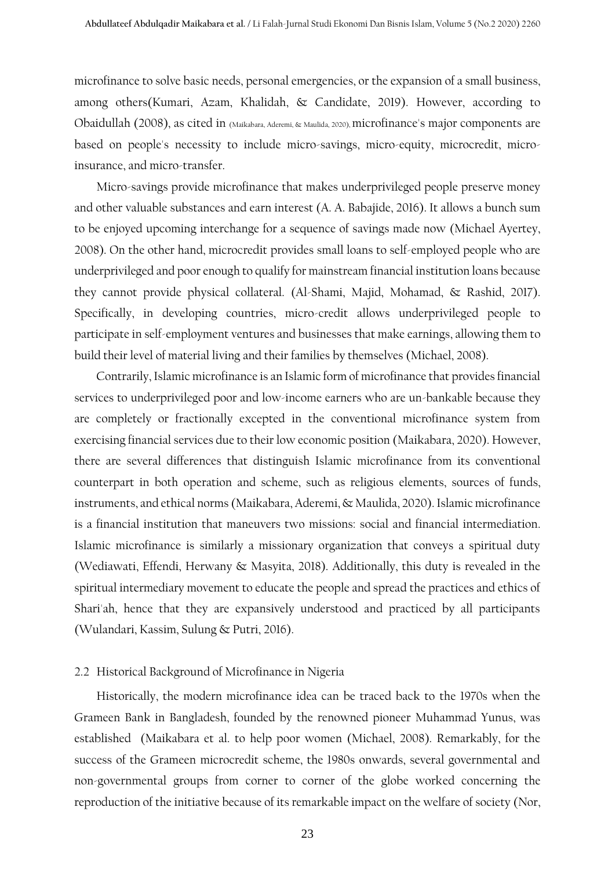microfinance to solve basic needs, personal emergencies, or the expansion of a small business, among others(Kumari, Azam, Khalidah, & Candidate, 2019). However, according to Obaidullah (2008), as cited in (Maikabara, Aderemi, & Maulida, 2020), microfinance's major components are based on people's necessity to include micro-savings, micro-equity, microcredit, microinsurance, and micro-transfer.

Micro-savings provide microfinance that makes underprivileged people preserve money and other valuable substances and earn interest (A. A. Babajide, 2016). It allows a bunch sum to be enjoyed upcoming interchange for a sequence of savings made now (Michael Ayertey, 2008). On the other hand, microcredit provides small loans to self-employed people who are underprivileged and poor enough to qualify for mainstream financial institution loans because they cannot provide physical collateral. (Al-Shami, Majid, Mohamad, & Rashid, 2017). Specifically, in developing countries, micro-credit allows underprivileged people to participate in self-employment ventures and businesses that make earnings, allowing them to build their level of material living and their families by themselves (Michael, 2008).

Contrarily, Islamic microfinance is an Islamic form of microfinance that provides financial services to underprivileged poor and low-income earners who are un-bankable because they are completely or fractionally excepted in the conventional microfinance system from exercising financial services due to their low economic position (Maikabara, 2020). However, there are several differences that distinguish Islamic microfinance from its conventional counterpart in both operation and scheme, such as religious elements, sources of funds, instruments, and ethical norms (Maikabara, Aderemi, & Maulida, 2020). Islamic microfinance is a financial institution that maneuvers two missions: social and financial intermediation. Islamic microfinance is similarly a missionary organization that conveys a spiritual duty (Wediawati, Effendi, Herwany & Masyita, 2018). Additionally, this duty is revealed in the spiritual intermediary movement to educate the people and spread the practices and ethics of Shari'ah, hence that they are expansively understood and practiced by all participants (Wulandari, Kassim, Sulung & Putri, 2016).

#### 2.2 Historical Background of Microfinance in Nigeria

Historically, the modern microfinance idea can be traced back to the 1970s when the Grameen Bank in Bangladesh, founded by the renowned pioneer Muhammad Yunus, was established (Maikabara et al. to help poor women (Michael, 2008). Remarkably, for the success of the Grameen microcredit scheme, the 1980s onwards, several governmental and non-governmental groups from corner to corner of the globe worked concerning the reproduction of the initiative because of its remarkable impact on the welfare of society (Nor,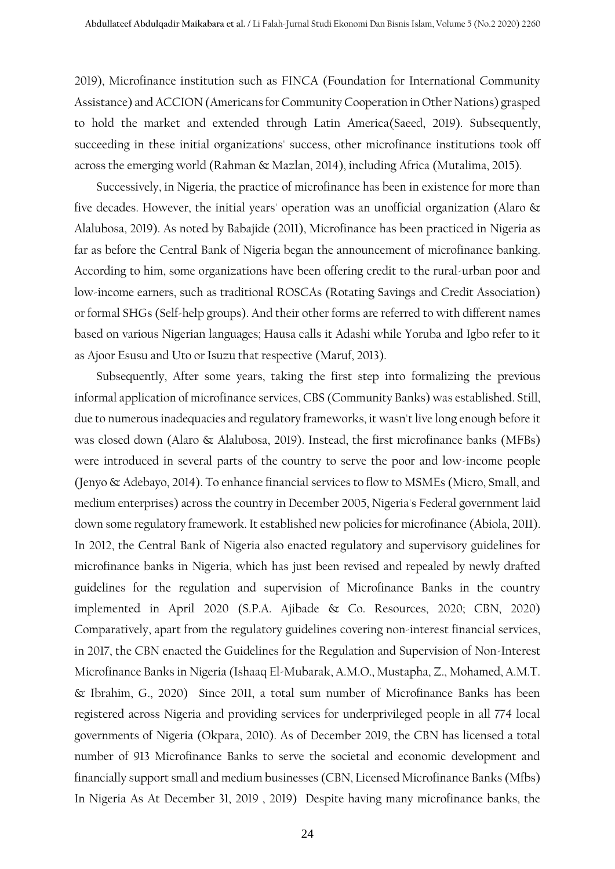2019), Microfinance institution such as FINCA (Foundation for International Community Assistance) and ACCION (Americans for Community Cooperation in Other Nations) grasped to hold the market and extended through Latin America(Saeed, 2019). Subsequently, succeeding in these initial organizations' success, other microfinance institutions took off across the emerging world (Rahman & Mazlan, 2014), including Africa (Mutalima, 2015).

Successively, in Nigeria, the practice of microfinance has been in existence for more than five decades. However, the initial years' operation was an unofficial organization (Alaro & Alalubosa, 2019). As noted by Babajide (2011), Microfinance has been practiced in Nigeria as far as before the Central Bank of Nigeria began the announcement of microfinance banking. According to him, some organizations have been offering credit to the rural-urban poor and low-income earners, such as traditional ROSCAs (Rotating Savings and Credit Association) or formal SHGs (Self-help groups). And their other forms are referred to with different names based on various Nigerian languages; Hausa calls it Adashi while Yoruba and Igbo refer to it as Ajoor Esusu and Uto or Isuzu that respective (Maruf, 2013).

Subsequently, After some years, taking the first step into formalizing the previous informal application of microfinance services, CBS (Community Banks) was established. Still, due to numerous inadequacies and regulatory frameworks, it wasn't live long enough before it was closed down (Alaro & Alalubosa, 2019). Instead, the first microfinance banks (MFBs) were introduced in several parts of the country to serve the poor and low-income people (Jenyo & Adebayo, 2014). To enhance financial services to flow to MSMEs (Micro, Small, and medium enterprises) across the country in December 2005, Nigeria's Federal government laid down some regulatory framework. It established new policies for microfinance (Abiola, 2011). In 2012, the Central Bank of Nigeria also enacted regulatory and supervisory guidelines for microfinance banks in Nigeria, which has just been revised and repealed by newly drafted guidelines for the regulation and supervision of Microfinance Banks in the country implemented in April 2020 (S.P.A. Ajibade & Co. Resources, 2020; CBN, 2020) Comparatively, apart from the regulatory guidelines covering non-interest financial services, in 2017, the CBN enacted the Guidelines for the Regulation and Supervision of Non-Interest Microfinance Banks in Nigeria (Ishaaq El-Mubarak, A.M.O., Mustapha, Z., Mohamed, A.M.T. & Ibrahim, G., 2020) Since 2011, a total sum number of Microfinance Banks has been registered across Nigeria and providing services for underprivileged people in all 774 local governments of Nigeria (Okpara, 2010). As of December 2019, the CBN has licensed a total number of 913 Microfinance Banks to serve the societal and economic development and financially support small and medium businesses (CBN, Licensed Microfinance Banks (Mfbs) In Nigeria As At December 31, 2019 , 2019) Despite having many microfinance banks, the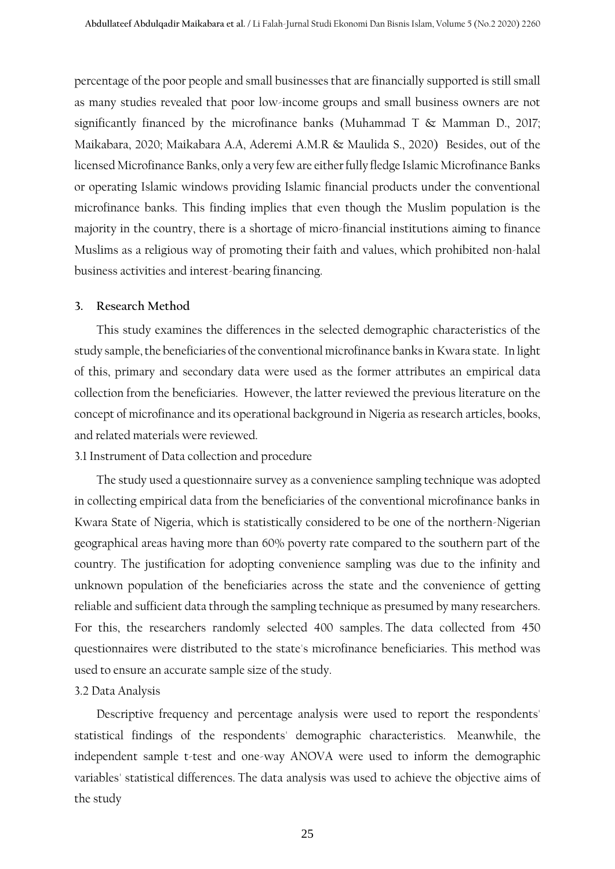percentage of the poor people and small businesses that are financially supported is still small as many studies revealed that poor low-income groups and small business owners are not significantly financed by the microfinance banks (Muhammad T & Mamman D., 2017; Maikabara, 2020; Maikabara A.A, Aderemi A.M.R & Maulida S., 2020) Besides, out of the licensed Microfinance Banks, only a very few are either fully fledge Islamic Microfinance Banks or operating Islamic windows providing Islamic financial products under the conventional microfinance banks. This finding implies that even though the Muslim population is the majority in the country, there is a shortage of micro-financial institutions aiming to finance Muslims as a religious way of promoting their faith and values, which prohibited non-halal business activities and interest-bearing financing.

#### **3. Research Method**

This study examines the differences in the selected demographic characteristics of the study sample, the beneficiaries of the conventional microfinance banks in Kwara state. In light of this, primary and secondary data were used as the former attributes an empirical data collection from the beneficiaries. However, the latter reviewed the previous literature on the concept of microfinance and its operational background in Nigeria as research articles, books, and related materials were reviewed.

#### 3.1 Instrument of Data collection and procedure

The study used a questionnaire survey as a convenience sampling technique was adopted in collecting empirical data from the beneficiaries of the conventional microfinance banks in Kwara State of Nigeria, which is statistically considered to be one of the northern-Nigerian geographical areas having more than 60% poverty rate compared to the southern part of the country. The justification for adopting convenience sampling was due to the infinity and unknown population of the beneficiaries across the state and the convenience of getting reliable and sufficient data through the sampling technique as presumed by many researchers. For this, the researchers randomly selected 400 samples. The data collected from 450 questionnaires were distributed to the state's microfinance beneficiaries. This method was used to ensure an accurate sample size of the study.

#### 3.2 Data Analysis

Descriptive frequency and percentage analysis were used to report the respondents' statistical findings of the respondents' demographic characteristics. Meanwhile, the independent sample t-test and one-way ANOVA were used to inform the demographic variables' statistical differences. The data analysis was used to achieve the objective aims of the study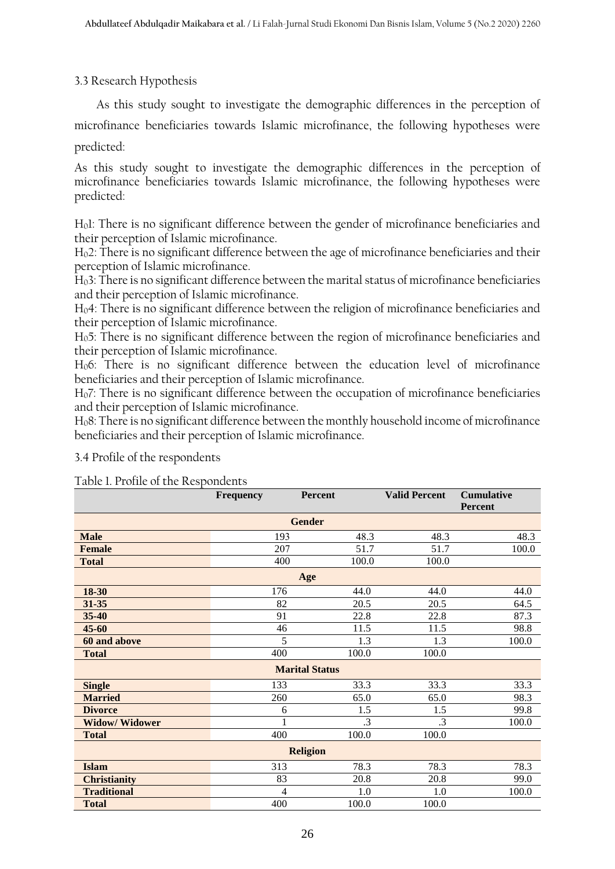## 3.3 Research Hypothesis

As this study sought to investigate the demographic differences in the perception of

microfinance beneficiaries towards Islamic microfinance, the following hypotheses were predicted:

As this study sought to investigate the demographic differences in the perception of microfinance beneficiaries towards Islamic microfinance, the following hypotheses were predicted:

H01: There is no significant difference between the gender of microfinance beneficiaries and their perception of Islamic microfinance.

H02: There is no significant difference between the age of microfinance beneficiaries and their perception of Islamic microfinance.

H03: There is no significant difference between the marital status of microfinance beneficiaries and their perception of Islamic microfinance.

H04: There is no significant difference between the religion of microfinance beneficiaries and their perception of Islamic microfinance.

H05: There is no significant difference between the region of microfinance beneficiaries and their perception of Islamic microfinance.

H06: There is no significant difference between the education level of microfinance beneficiaries and their perception of Islamic microfinance.

H07: There is no significant difference between the occupation of microfinance beneficiaries and their perception of Islamic microfinance.

H08: There is no significant difference between the monthly household income of microfinance beneficiaries and their perception of Islamic microfinance.

| Table 1. Profile of the Respondents |                  |                       |                      |                                     |  |  |  |  |
|-------------------------------------|------------------|-----------------------|----------------------|-------------------------------------|--|--|--|--|
|                                     | <b>Frequency</b> | Percent               | <b>Valid Percent</b> | <b>Cumulative</b><br><b>Percent</b> |  |  |  |  |
| <b>Gender</b>                       |                  |                       |                      |                                     |  |  |  |  |
| <b>Male</b>                         | 193              | 48.3                  | 48.3                 | 48.3                                |  |  |  |  |
| <b>Female</b>                       | 207              | 51.7                  | 51.7                 | 100.0                               |  |  |  |  |
| <b>Total</b>                        | 400              | 100.0                 | 100.0                |                                     |  |  |  |  |
|                                     |                  | Age                   |                      |                                     |  |  |  |  |
| 18-30                               | 176              | 44.0                  | 44.0                 | 44.0                                |  |  |  |  |
| 31-35                               | 82               | 20.5                  | 20.5                 | 64.5                                |  |  |  |  |
| 35-40                               | 91               | 22.8                  | 22.8                 | 87.3                                |  |  |  |  |
| $45 - 60$                           | 46               | 11.5                  | 11.5                 | 98.8                                |  |  |  |  |
| 60 and above                        | 5                | 1.3                   | 1.3                  | 100.0                               |  |  |  |  |
| <b>Total</b>                        | 400              | 100.0                 | 100.0                |                                     |  |  |  |  |
|                                     |                  | <b>Marital Status</b> |                      |                                     |  |  |  |  |
| <b>Single</b>                       | 133              | 33.3                  | 33.3                 | 33.3                                |  |  |  |  |
| <b>Married</b>                      | 260              | 65.0                  | 65.0                 | 98.3                                |  |  |  |  |
| <b>Divorce</b>                      | 6                | 1.5                   | 1.5                  | 99.8                                |  |  |  |  |
| <b>Widow/Widower</b>                |                  | .3                    | .3                   | 100.0                               |  |  |  |  |
| <b>Total</b>                        | 400              | 100.0                 | 100.0                |                                     |  |  |  |  |
| <b>Religion</b>                     |                  |                       |                      |                                     |  |  |  |  |
| <b>Islam</b>                        | 313              | 78.3                  | 78.3                 | 78.3                                |  |  |  |  |
| <b>Christianity</b>                 | 83               | 20.8                  | 20.8                 | 99.0                                |  |  |  |  |
| <b>Traditional</b>                  | 4                | 1.0                   | 1.0                  | 100.0                               |  |  |  |  |
| <b>Total</b>                        | 400              | 100.0                 | 100.0                |                                     |  |  |  |  |

3.4 Profile of the respondents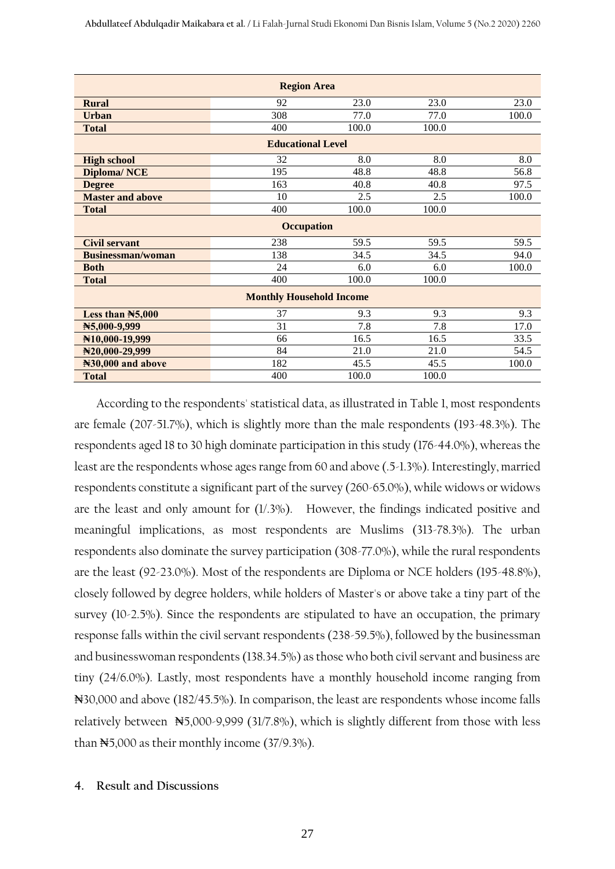| <b>Region Area</b>             |                                 |       |       |       |  |  |  |
|--------------------------------|---------------------------------|-------|-------|-------|--|--|--|
| <b>Rural</b>                   | 92                              | 23.0  | 23.0  | 23.0  |  |  |  |
| <b>Urban</b>                   | 308                             | 77.0  | 77.0  | 100.0 |  |  |  |
| <b>Total</b>                   | 400                             | 100.0 | 100.0 |       |  |  |  |
|                                | <b>Educational Level</b>        |       |       |       |  |  |  |
| <b>High school</b>             | 32                              | 8.0   | 8.0   | 8.0   |  |  |  |
| <b>Diploma/NCE</b>             | 195                             | 48.8  | 48.8  | 56.8  |  |  |  |
| <b>Degree</b>                  | 163                             | 40.8  | 40.8  | 97.5  |  |  |  |
| <b>Master and above</b>        | 10                              | 2.5   | 2.5   | 100.0 |  |  |  |
| <b>Total</b>                   | 400                             | 100.0 | 100.0 |       |  |  |  |
|                                | <b>Occupation</b>               |       |       |       |  |  |  |
| <b>Civil servant</b>           | 238                             | 59.5  | 59.5  | 59.5  |  |  |  |
| <b>Businessman/woman</b>       | 138                             | 34.5  | 34.5  | 94.0  |  |  |  |
| <b>Both</b>                    | 24                              | 6.0   | 6.0   | 100.0 |  |  |  |
| <b>Total</b>                   | 400                             | 100.0 | 100.0 |       |  |  |  |
|                                | <b>Monthly Household Income</b> |       |       |       |  |  |  |
| Less than $\mathbb{N}5,000$    | 37                              | 9.3   | 9.3   | 9.3   |  |  |  |
| N5,000-9,999                   | 31                              | 7.8   | 7.8   | 17.0  |  |  |  |
| N10,000-19,999                 | 66                              | 16.5  | 16.5  | 33.5  |  |  |  |
| N20,000-29,999                 | 84                              | 21.0  | 21.0  | 54.5  |  |  |  |
| N <sub>30</sub> ,000 and above | 182                             | 45.5  | 45.5  | 100.0 |  |  |  |
| <b>Total</b>                   | 400                             | 100.0 | 100.0 |       |  |  |  |

According to the respondents' statistical data, as illustrated in Table 1, most respondents are female (207-51.7%), which is slightly more than the male respondents (193-48.3%). The respondents aged 18 to 30 high dominate participation in this study (176-44.0%), whereas the least are the respondents whose ages range from 60 and above (.5-1.3%). Interestingly, married respondents constitute a significant part of the survey (260-65.0%), while widows or widows are the least and only amount for (1/.3%). However, the findings indicated positive and meaningful implications, as most respondents are Muslims (313-78.3%). The urban respondents also dominate the survey participation (308-77.0%), while the rural respondents are the least (92-23.0%). Most of the respondents are Diploma or NCE holders (195-48.8%), closely followed by degree holders, while holders of Master's or above take a tiny part of the survey (10-2.5%). Since the respondents are stipulated to have an occupation, the primary response falls within the civil servant respondents (238-59.5%), followed by the businessman and businesswoman respondents (138.34.5%) as those who both civil servant and business are tiny (24/6.0%). Lastly, most respondents have a monthly household income ranging from ₦30,000 and above (182/45.5%). In comparison, the least are respondents whose income falls relatively between ₦5,000-9,999 (31/7.8%), which is slightly different from those with less than ₦5,000 as their monthly income (37/9.3%).

#### **4. Result and Discussions**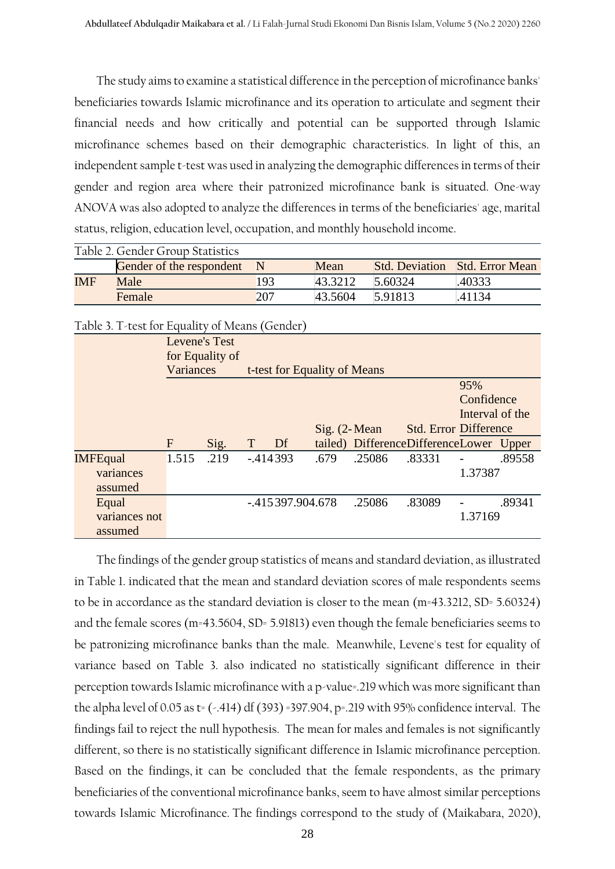The study aims to examine a statistical difference in the perception of microfinance banks' beneficiaries towards Islamic microfinance and its operation to articulate and segment their financial needs and how critically and potential can be supported through Islamic microfinance schemes based on their demographic characteristics. In light of this, an independent sample t-test was used in analyzing the demographic differences in terms of their gender and region area where their patronized microfinance bank is situated. One-way ANOVA was also adopted to analyze the differences in terms of the beneficiaries' age, marital status, religion, education level, occupation, and monthly household income.

|            | Table 2. Gender Group Statistics |     |         |         |                                       |
|------------|----------------------------------|-----|---------|---------|---------------------------------------|
|            | Gender of the respondent         |     | Mean    |         | <b>Std. Deviation Std. Error Mean</b> |
| <b>IMF</b> | Male                             | 193 | 43.3212 | 5.60324 | .40333                                |
|            | <b>Female</b>                    | 207 | 43.5604 | 5.91813 | 41134                                 |

| Tapic 9. I Research Equality of Medits (Octivel) |               |                 |   |           |                              |        |                                         |                 |        |
|--------------------------------------------------|---------------|-----------------|---|-----------|------------------------------|--------|-----------------------------------------|-----------------|--------|
|                                                  | Levene's Test | for Equality of |   |           |                              |        |                                         |                 |        |
|                                                  | Variances     |                 |   |           | t-test for Equality of Means |        |                                         |                 |        |
|                                                  |               |                 |   |           |                              |        |                                         | 95%             |        |
|                                                  |               |                 |   |           |                              |        |                                         | Confidence      |        |
|                                                  |               |                 |   |           |                              |        |                                         | Interval of the |        |
|                                                  |               |                 |   |           | $Sig. (2-Mean)$              |        | <b>Std. Error Difference</b>            |                 |        |
|                                                  | F             | Sig.            | T | Df        |                              |        | tailed) DifferenceDifferenceLower Upper |                 |        |
| <b>IMFEqual</b>                                  | 1.515         | .219            |   | $-414393$ | .679                         | .25086 | .83331                                  |                 | .89558 |
| variances                                        |               |                 |   |           |                              |        |                                         | 1.37387         |        |
| assumed                                          |               |                 |   |           |                              |        |                                         |                 |        |
| Equal                                            |               |                 |   |           | $-.415397.904.678$           | .25086 | .83089                                  |                 | .89341 |
| variances not                                    |               |                 |   |           |                              |        |                                         | 1.37169         |        |
| assumed                                          |               |                 |   |           |                              |        |                                         |                 |        |

Table 3. T-test for Equality of Means (Gender)

The findings of the gender group statistics of means and standard deviation, as illustrated in Table 1. indicated that the mean and standard deviation scores of male respondents seems to be in accordance as the standard deviation is closer to the mean (m=43.3212, SD= 5.60324) and the female scores (m=43.5604, SD= 5.91813) even though the female beneficiaries seems to be patronizing microfinance banks than the male. Meanwhile, Levene's test for equality of variance based on Table 3. also indicated no statistically significant difference in their perception towards Islamic microfinance with a p-value=.219 which was more significant than the alpha level of 0.05 as t= (-.414) df (393)=397.904, p=.219 with 95% confidence interval. The findings fail to reject the null hypothesis. The mean for males and females is not significantly different, so there is no statistically significant difference in Islamic microfinance perception. Based on the findings, it can be concluded that the female respondents, as the primary beneficiaries of the conventional microfinance banks, seem to have almost similar perceptions towards Islamic Microfinance. The findings correspond to the study of (Maikabara, 2020),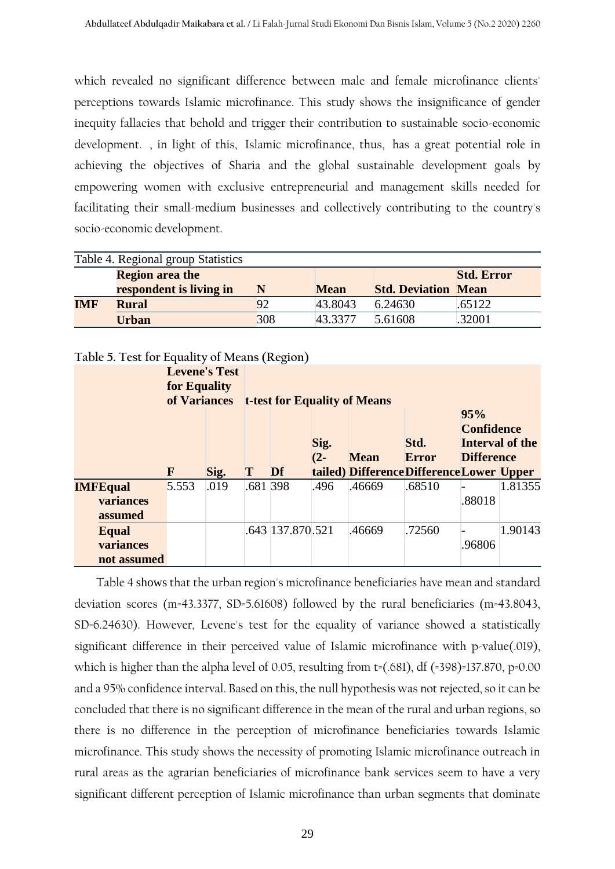which revealed no significant difference between male and female microfinance clients' perceptions towards Islamic microfinance. This study shows the insignificance of gender inequity fallacies that behold and trigger their contribution to sustainable socio-economic development. , in light of this, Islamic microfinance, thus, has a great potential role in achieving the objectives of Sharia and the global sustainable development goals by empowering women with exclusive entrepreneurial and management skills needed for facilitating their small-medium businesses and collectively contributing to the country's socio-economic development.

|     | Table 4. Regional group Statistics |     |             |                            |                   |
|-----|------------------------------------|-----|-------------|----------------------------|-------------------|
|     | <b>Region area the</b>             |     |             |                            | <b>Std. Error</b> |
|     | respondent is living in            | N   | <b>Mean</b> | <b>Std. Deviation Mean</b> |                   |
| IMF | <b>Rural</b>                       | 92  | 43.8043     | 6.24630                    | .65122            |
|     | <b>Urban</b>                       | 308 | 43.3377     | 5.61608                    | .32001            |

| Table 5. Test for Equality of Means (Region) |                                                      |      |          |                  |        |                                           |              |                          |                 |
|----------------------------------------------|------------------------------------------------------|------|----------|------------------|--------|-------------------------------------------|--------------|--------------------------|-----------------|
|                                              | <b>Levene's Test</b><br>for Equality<br>of Variances |      |          |                  |        | <b>t-test for Equality of Means</b>       |              |                          |                 |
|                                              |                                                      |      |          |                  | Sig.   |                                           | Std.         | 95%<br><b>Confidence</b> | Interval of the |
|                                              |                                                      |      |          |                  | $(2 -$ | <b>Mean</b>                               | <b>Error</b> | <b>Difference</b>        |                 |
|                                              | F                                                    | Sig. | T        | Df               |        | tailed) Difference Difference Lower Upper |              |                          |                 |
| <b>IMFEqual</b>                              | 5.553                                                | .019 | .681 398 |                  | .496   | .46669                                    | .68510       |                          | 1.81355         |
| variances<br>assumed                         |                                                      |      |          |                  |        |                                           |              | .88018                   |                 |
|                                              |                                                      |      |          |                  |        |                                           |              |                          |                 |
| Equal                                        |                                                      |      |          | .643 137.870.521 |        | .46669                                    | .72560       |                          | 1.90143         |
| variances                                    |                                                      |      |          |                  |        |                                           |              | .96806                   |                 |
| not assumed                                  |                                                      |      |          |                  |        |                                           |              |                          |                 |

## **Table 5. Test for Equality of Means (Region)**

Table 4 shows that the urban region's microfinance beneficiaries have mean and standard deviation scores (m=43.3377, SD=5.61608) followed by the rural beneficiaries (m=43.8043, SD=6.24630). However, Levene's test for the equality of variance showed a statistically significant difference in their perceived value of Islamic microfinance with p-value(.019), which is higher than the alpha level of 0.05, resulting from  $t=(.681)$ , df  $(=398)=137.870$ , p=0.00 and a 95% confidence interval. Based on this, the null hypothesis was not rejected, so it can be concluded that there is no significant difference in the mean of the rural and urban regions, so there is no difference in the perception of microfinance beneficiaries towards Islamic microfinance. This study shows the necessity of promoting Islamic microfinance outreach in rural areas as the agrarian beneficiaries of microfinance bank services seem to have a very significant different perception of Islamic microfinance than urban segments that dominate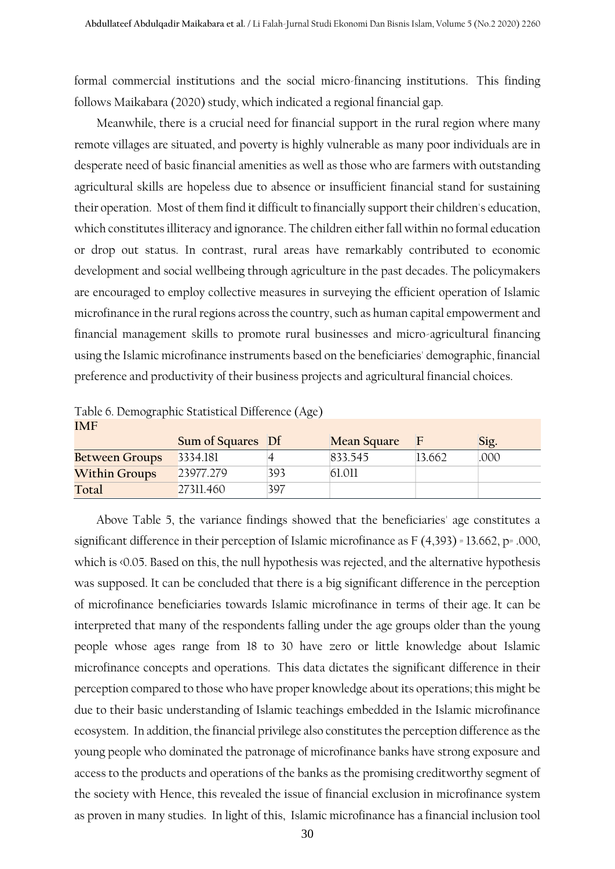formal commercial institutions and the social micro-financing institutions. This finding follows Maikabara (2020) study, which indicated a regional financial gap.

Meanwhile, there is a crucial need for financial support in the rural region where many remote villages are situated, and poverty is highly vulnerable as many poor individuals are in desperate need of basic financial amenities as well as those who are farmers with outstanding agricultural skills are hopeless due to absence or insufficient financial stand for sustaining their operation. Most of them find it difficult to financially support their children's education, which constitutes illiteracy and ignorance. The children either fall within no formal education or drop out status. In contrast, rural areas have remarkably contributed to economic development and social wellbeing through agriculture in the past decades. The policymakers are encouraged to employ collective measures in surveying the efficient operation of Islamic microfinance in the rural regions across the country, such as human capital empowerment and financial management skills to promote rural businesses and micro-agricultural financing using the Islamic microfinance instruments based on the beneficiaries' demographic, financial preference and productivity of their business projects and agricultural financial choices.

| <b>IMF</b>            |                   |     |                    |        |      |
|-----------------------|-------------------|-----|--------------------|--------|------|
|                       | Sum of Squares Df |     | <b>Mean Square</b> | F      | Sig. |
| <b>Between Groups</b> | 3334.181          |     | 833.545            | 13.662 | .000 |
| <b>Within Groups</b>  | 23977.279         | 393 | 61.011             |        |      |
| Total                 | 27311.460         | 397 |                    |        |      |

Table 6. Demographic Statistical Difference (Age)

Above Table 5, the variance findings showed that the beneficiaries' age constitutes a significant difference in their perception of Islamic microfinance as F (4,393) = 13.662, p= .000, which is <0.05. Based on this, the null hypothesis was rejected, and the alternative hypothesis was supposed. It can be concluded that there is a big significant difference in the perception of microfinance beneficiaries towards Islamic microfinance in terms of their age. It can be interpreted that many of the respondents falling under the age groups older than the young people whose ages range from 18 to 30 have zero or little knowledge about Islamic microfinance concepts and operations. This data dictates the significant difference in their perception compared to those who have proper knowledge about its operations; this might be due to their basic understanding of Islamic teachings embedded in the Islamic microfinance ecosystem. In addition, the financial privilege also constitutes the perception difference as the young people who dominated the patronage of microfinance banks have strong exposure and access to the products and operations of the banks as the promising creditworthy segment of the society with Hence, this revealed the issue of financial exclusion in microfinance system as proven in many studies. In light of this, Islamic microfinance has a financial inclusion tool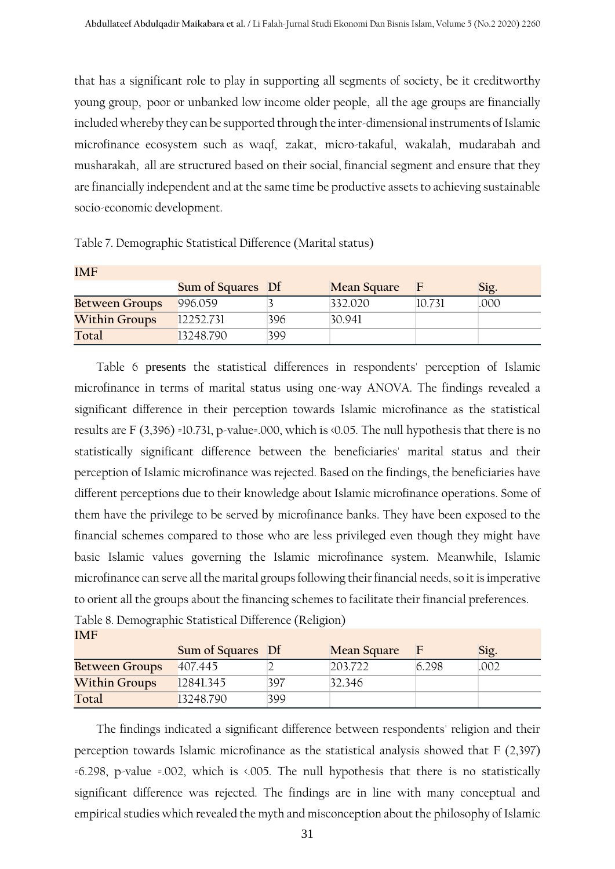that has a significant role to play in supporting all segments of society, be it creditworthy young group, poor or unbanked low income older people, all the age groups are financially included whereby they can be supported through the inter-dimensional instruments of Islamic microfinance ecosystem such as waqf, zakat, micro-takaful, wakalah, mudarabah and musharakah, all are structured based on their social, financial segment and ensure that they are financially independent and at the same time be productive assets to achieving sustainable socio-economic development.

| IMF                   |                          |     |                    |        |      |  |  |  |
|-----------------------|--------------------------|-----|--------------------|--------|------|--|--|--|
|                       | <b>Sum of Squares</b> Df |     | <b>Mean Square</b> |        | Sig. |  |  |  |
| <b>Between Groups</b> | 996.059                  |     | 332.020            | 10.731 | .000 |  |  |  |
| <b>Within Groups</b>  | 12252.731                | 396 | 30.941             |        |      |  |  |  |
| Total                 | 13248.790                | 399 |                    |        |      |  |  |  |

Table 7. Demographic Statistical Difference (Marital status)

Table 6 presents the statistical differences in respondents' perception of Islamic microfinance in terms of marital status using one-way ANOVA. The findings revealed a significant difference in their perception towards Islamic microfinance as the statistical results are F (3,396) =10.731, p-value=.000, which is <0.05. The null hypothesis that there is no statistically significant difference between the beneficiaries' marital status and their perception of Islamic microfinance was rejected. Based on the findings, the beneficiaries have different perceptions due to their knowledge about Islamic microfinance operations. Some of them have the privilege to be served by microfinance banks. They have been exposed to the financial schemes compared to those who are less privileged even though they might have basic Islamic values governing the Islamic microfinance system. Meanwhile, Islamic microfinance can serve all the marital groups following their financial needs, so it is imperative to orient all the groups about the financing schemes to facilitate their financial preferences.

Table 8. Demographic Statistical Difference (Religion) **IMF** 

|                       | Sum of Squares Df |     | <b>Mean Square</b> |      | Sig. |
|-----------------------|-------------------|-----|--------------------|------|------|
| <b>Between Groups</b> | 407.445           |     | 203.722            | 6298 | .002 |
| <b>Within Groups</b>  | 12841.345         | 397 | 32.346             |      |      |
| Total                 | 13248.790         | 399 |                    |      |      |

The findings indicated a significant difference between respondents' religion and their perception towards Islamic microfinance as the statistical analysis showed that F (2,397) =6.298, p-value =.002, which is <.005. The null hypothesis that there is no statistically significant difference was rejected. The findings are in line with many conceptual and empirical studies which revealed the myth and misconception about the philosophy of Islamic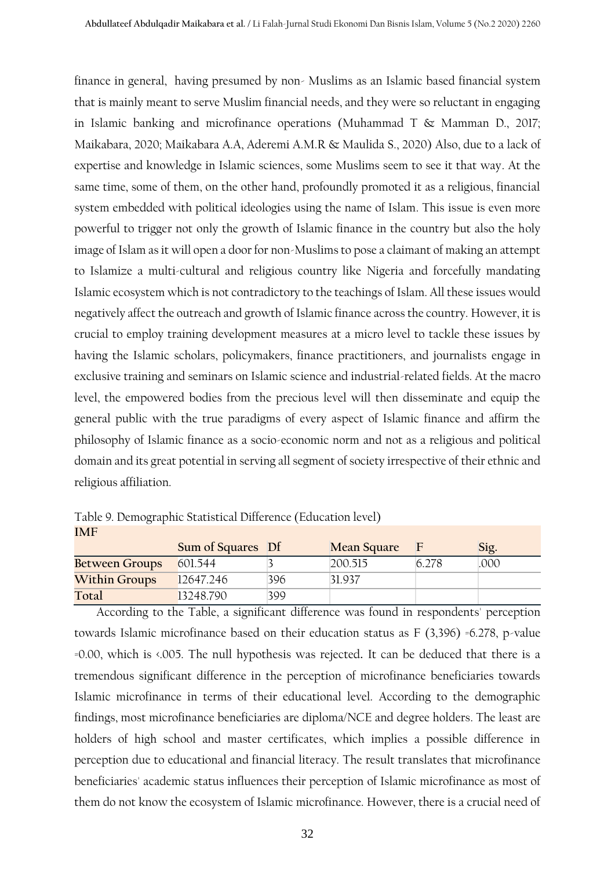finance in general, having presumed by non- Muslims as an Islamic based financial system that is mainly meant to serve Muslim financial needs, and they were so reluctant in engaging in Islamic banking and microfinance operations (Muhammad T & Mamman D., 2017; Maikabara, 2020; Maikabara A.A, Aderemi A.M.R & Maulida S., 2020) Also, due to a lack of expertise and knowledge in Islamic sciences, some Muslims seem to see it that way. At the same time, some of them, on the other hand, profoundly promoted it as a religious, financial system embedded with political ideologies using the name of Islam. This issue is even more powerful to trigger not only the growth of Islamic finance in the country but also the holy image of Islam as it will open a door for non-Muslims to pose a claimant of making an attempt to Islamize a multi-cultural and religious country like Nigeria and forcefully mandating Islamic ecosystem which is not contradictory to the teachings of Islam. All these issues would negatively affect the outreach and growth of Islamic finance across the country. However, it is crucial to employ training development measures at a micro level to tackle these issues by having the Islamic scholars, policymakers, finance practitioners, and journalists engage in exclusive training and seminars on Islamic science and industrial-related fields. At the macro level, the empowered bodies from the precious level will then disseminate and equip the general public with the true paradigms of every aspect of Islamic finance and affirm the philosophy of Islamic finance as a socio-economic norm and not as a religious and political domain and its great potential in serving all segment of society irrespective of their ethnic and religious affiliation.

Table 9. Demographic Statistical Difference (Education level) **IMF** 

|                       | Sum of Squares Df |     | <b>Mean Square</b> |       | Sig. |
|-----------------------|-------------------|-----|--------------------|-------|------|
| <b>Between Groups</b> | 601.544           |     | 200.515            | 6.278 | .000 |
| <b>Within Groups</b>  | 12647.246         | 396 | 31.937             |       |      |
| Total                 | 13248.790         | 399 |                    |       |      |

According to the Table, a significant difference was found in respondents' perception towards Islamic microfinance based on their education status as F (3,396) =6.278, p-value =0.00, which is <.005. The null hypothesis was rejected**.** It can be deduced that there is a tremendous significant difference in the perception of microfinance beneficiaries towards Islamic microfinance in terms of their educational level. According to the demographic findings, most microfinance beneficiaries are diploma/NCE and degree holders. The least are holders of high school and master certificates, which implies a possible difference in perception due to educational and financial literacy. The result translates that microfinance beneficiaries' academic status influences their perception of Islamic microfinance as most of them do not know the ecosystem of Islamic microfinance. However, there is a crucial need of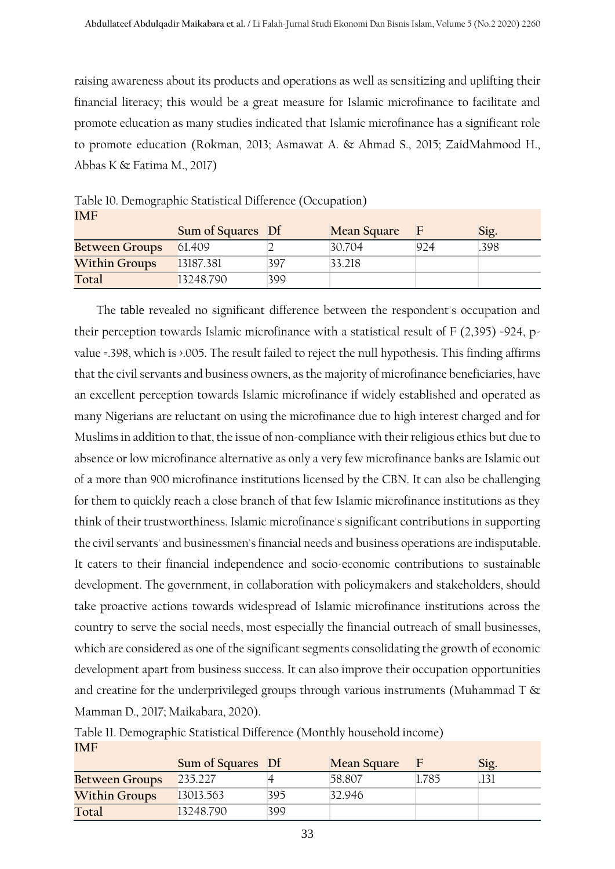raising awareness about its products and operations as well as sensitizing and uplifting their financial literacy; this would be a great measure for Islamic microfinance to facilitate and promote education as many studies indicated that Islamic microfinance has a significant role to promote education (Rokman, 2013; Asmawat A. & Ahmad S., 2015; ZaidMahmood H., Abbas K & Fatima M., 2017)

| <b>IMF</b>            |                   |     |                    |     |      |
|-----------------------|-------------------|-----|--------------------|-----|------|
|                       | Sum of Squares Df |     | <b>Mean Square</b> |     | Sig. |
| <b>Between Groups</b> | 61.409            |     | 30.704             | 924 | .398 |
| <b>Within Groups</b>  | 13187.381         | 397 | 33.218             |     |      |
| Total                 | 13248.790         | 399 |                    |     |      |

Table 10. Demographic Statistical Difference (Occupation)

The table revealed no significant difference between the respondent's occupation and their perception towards Islamic microfinance with a statistical result of  $F(2,395)$  =924, pvalue =.398, which is >.005. The result failed to reject the null hypothesis**.** This finding affirms that the civil servants and business owners, as the majority of microfinance beneficiaries, have an excellent perception towards Islamic microfinance if widely established and operated as many Nigerians are reluctant on using the microfinance due to high interest charged and for Muslims in addition to that, the issue of non-compliance with their religious ethics but due to absence or low microfinance alternative as only a very few microfinance banks are Islamic out of a more than 900 microfinance institutions licensed by the CBN. It can also be challenging for them to quickly reach a close branch of that few Islamic microfinance institutions as they think of their trustworthiness. Islamic microfinance's significant contributions in supporting the civil servants' and businessmen's financial needs and business operations are indisputable. It caters to their financial independence and socio-economic contributions to sustainable development. The government, in collaboration with policymakers and stakeholders, should take proactive actions towards widespread of Islamic microfinance institutions across the country to serve the social needs, most especially the financial outreach of small businesses, which are considered as one of the significant segments consolidating the growth of economic development apart from business success. It can also improve their occupation opportunities and creatine for the underprivileged groups through various instruments (Muhammad T  $\&$ Mamman D., 2017; Maikabara, 2020).

|                       | Sum of Squares Df |     | <b>Mean Square</b> |      | Sig. |
|-----------------------|-------------------|-----|--------------------|------|------|
| <b>Between Groups</b> | 235.227           |     | 58.807             | .785 |      |
| <b>Within Groups</b>  | 13013.563         | 395 | 32.946             |      |      |
| Total                 | 13248.790         | 399 |                    |      |      |

Table 11. Demographic Statistical Difference (Monthly household income) **IMF**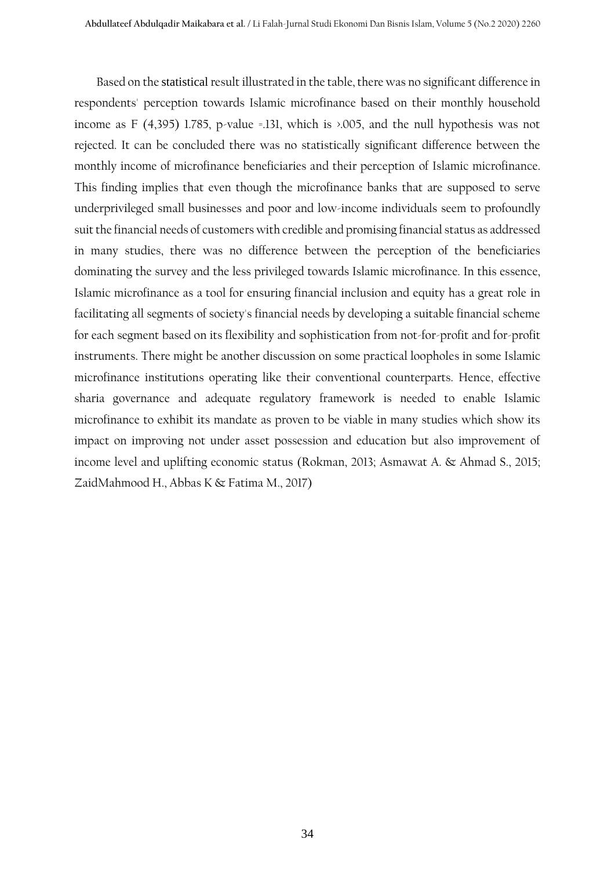Based on the statistical result illustrated in the table, there was no significant difference in respondents' perception towards Islamic microfinance based on their monthly household income as F (4,395) 1.785, p-value =.131, which is  $\geq$  005, and the null hypothesis was not rejected. It can be concluded there was no statistically significant difference between the monthly income of microfinance beneficiaries and their perception of Islamic microfinance. This finding implies that even though the microfinance banks that are supposed to serve underprivileged small businesses and poor and low-income individuals seem to profoundly suit the financial needs of customers with credible and promising financial status as addressed in many studies, there was no difference between the perception of the beneficiaries dominating the survey and the less privileged towards Islamic microfinance. In this essence, Islamic microfinance as a tool for ensuring financial inclusion and equity has a great role in facilitating all segments of society's financial needs by developing a suitable financial scheme for each segment based on its flexibility and sophistication from not-for-profit and for-profit instruments. There might be another discussion on some practical loopholes in some Islamic microfinance institutions operating like their conventional counterparts. Hence, effective sharia governance and adequate regulatory framework is needed to enable Islamic microfinance to exhibit its mandate as proven to be viable in many studies which show its impact on improving not under asset possession and education but also improvement of income level and uplifting economic status (Rokman, 2013; Asmawat A. & Ahmad S., 2015; ZaidMahmood H., Abbas K & Fatima M., 2017)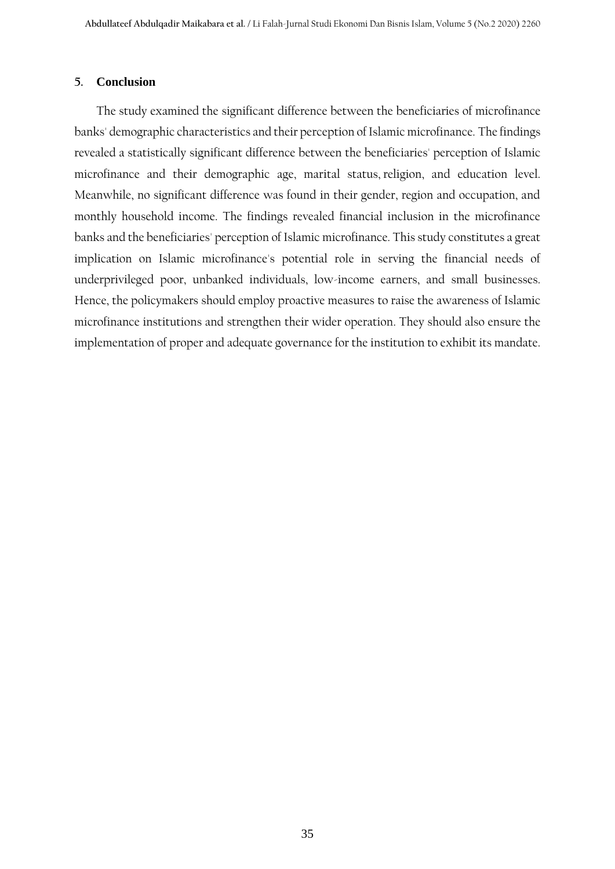### **5. Conclusion**

The study examined the significant difference between the beneficiaries of microfinance banks' demographic characteristics and their perception of Islamic microfinance. The findings revealed a statistically significant difference between the beneficiaries' perception of Islamic microfinance and their demographic age, marital status, religion, and education level. Meanwhile, no significant difference was found in their gender, region and occupation, and monthly household income. The findings revealed financial inclusion in the microfinance banks and the beneficiaries' perception of Islamic microfinance. This study constitutes a great implication on Islamic microfinance's potential role in serving the financial needs of underprivileged poor, unbanked individuals, low-income earners, and small businesses. Hence, the policymakers should employ proactive measures to raise the awareness of Islamic microfinance institutions and strengthen their wider operation. They should also ensure the implementation of proper and adequate governance for the institution to exhibit its mandate.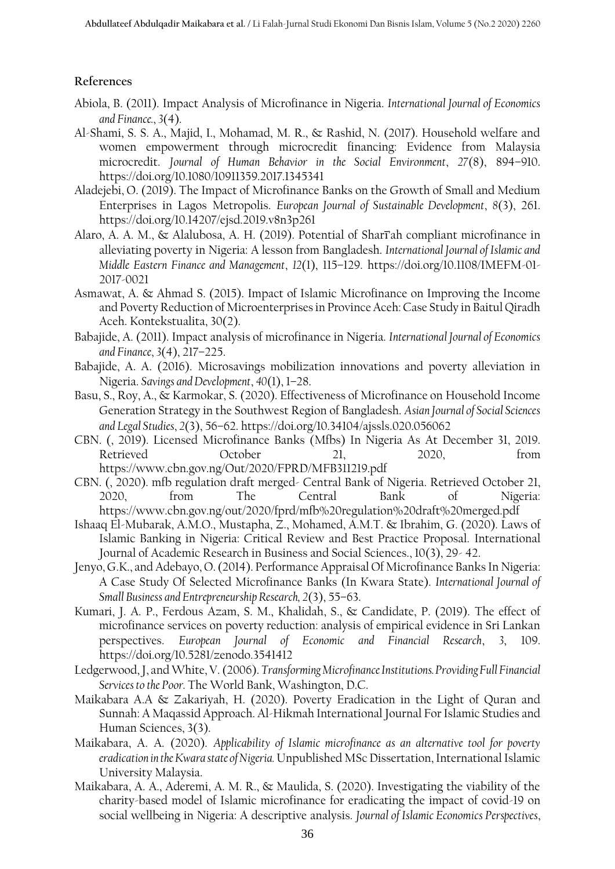## **References**

- Abiola, B. (2011). Impact Analysis of Microfinance in Nigeria. *International Journal of Economics and Finance.*, *3*(4).
- Al-Shami, S. S. A., Majid, I., Mohamad, M. R., & Rashid, N. (2017). Household welfare and women empowerment through microcredit financing: Evidence from Malaysia microcredit. *Journal of Human Behavior in the Social Environment*, *27*(8), 894–910. https://doi.org/10.1080/10911359.2017.1345341
- Aladejebi, O. (2019). The Impact of Microfinance Banks on the Growth of Small and Medium Enterprises in Lagos Metropolis. *European Journal of Sustainable Development*, *8*(3), 261. https://doi.org/10.14207/ejsd.2019.v8n3p261
- Alaro, A. A. M., & Alalubosa, A. H. (2019). Potential of Sharī'ah compliant microfinance in alleviating poverty in Nigeria: A lesson from Bangladesh. *International Journal of Islamic and Middle Eastern Finance and Management*, *12*(1), 115–129. https://doi.org/10.1108/IMEFM-01- 2017-0021
- Asmawat, A. & Ahmad S. (2015). Impact of Islamic Microfinance on Improving the Income and Poverty Reduction of Microenterprises in Province Aceh: Case Study in Baitul Qiradh Aceh. Kontekstualita, 30(2).
- Babajide, A. (2011). Impact analysis of microfinance in Nigeria. *International Journal of Economics and Finance*, *3*(4), 217–225.
- Babajide, A. A. (2016). Microsavings mobilization innovations and poverty alleviation in Nigeria. *Savings and Development*, *40*(1), 1–28.
- Basu, S., Roy, A., & Karmokar, S. (2020). Effectiveness of Microfinance on Household Income Generation Strategy in the Southwest Region of Bangladesh. *Asian Journal of Social Sciences and Legal Studies*, *2*(3), 56–62. https://doi.org/10.34104/ajssls.020.056062
- CBN. (, 2019). Licensed Microfinance Banks (Mfbs) In Nigeria As At December 31, 2019. Retrieved October 21, 2020, from https://www.cbn.gov.ng/Out/2020/FPRD/MFB311219.pdf
- CBN. (, 2020). mfb regulation draft merged- Central Bank of Nigeria. Retrieved October 21, 2020, from The Central Bank of Nigeria: https://www.cbn.gov.ng/out/2020/fprd/mfb%20regulation%20draft%20merged.pdf
- Ishaaq El-Mubarak, A.M.O., Mustapha, Z., Mohamed, A.M.T. & Ibrahim, G. (2020). Laws of Islamic Banking in Nigeria: Critical Review and Best Practice Proposal. International Journal of Academic Research in Business and Social Sciences., 10(3), 29- 42.
- Jenyo, G.K., and Adebayo, O. (2014). Performance Appraisal Of Microfinance Banks In Nigeria: A Case Study Of Selected Microfinance Banks (In Kwara State). *International Journal of Small Business and Entrepreneurship Research, 2*(3), 55–63.
- Kumari, J. A. P., Ferdous Azam, S. M., Khalidah, S., & Candidate, P. (2019). The effect of microfinance services on poverty reduction: analysis of empirical evidence in Sri Lankan perspectives. *European Journal of Economic and Financial Research*, *3*, 109. https://doi.org/10.5281/zenodo.3541412
- Ledgerwood, J, and White, V. (2006). *Transforming Microfinance Institutions.Providing Full Financial Services to the Poor.* The World Bank, Washington, D.C.
- Maikabara A.A & Zakariyah, H. (2020). Poverty Eradication in the Light of Quran and Sunnah: A Maqassid Approach. Al-Hikmah International Journal For Islamic Studies and Human Sciences, 3(3).
- Maikabara, A. A. (2020). *Applicability of Islamic microfinance as an alternative tool for poverty eradication in the Kwara state of Nigeria.* Unpublished MSc Dissertation, International Islamic University Malaysia.
- Maikabara, A. A., Aderemi, A. M. R., & Maulida, S. (2020). Investigating the viability of the charity-based model of Islamic microfinance for eradicating the impact of covid-19 on social wellbeing in Nigeria: A descriptive analysis. *Journal of Islamic Economics Perspectives*,